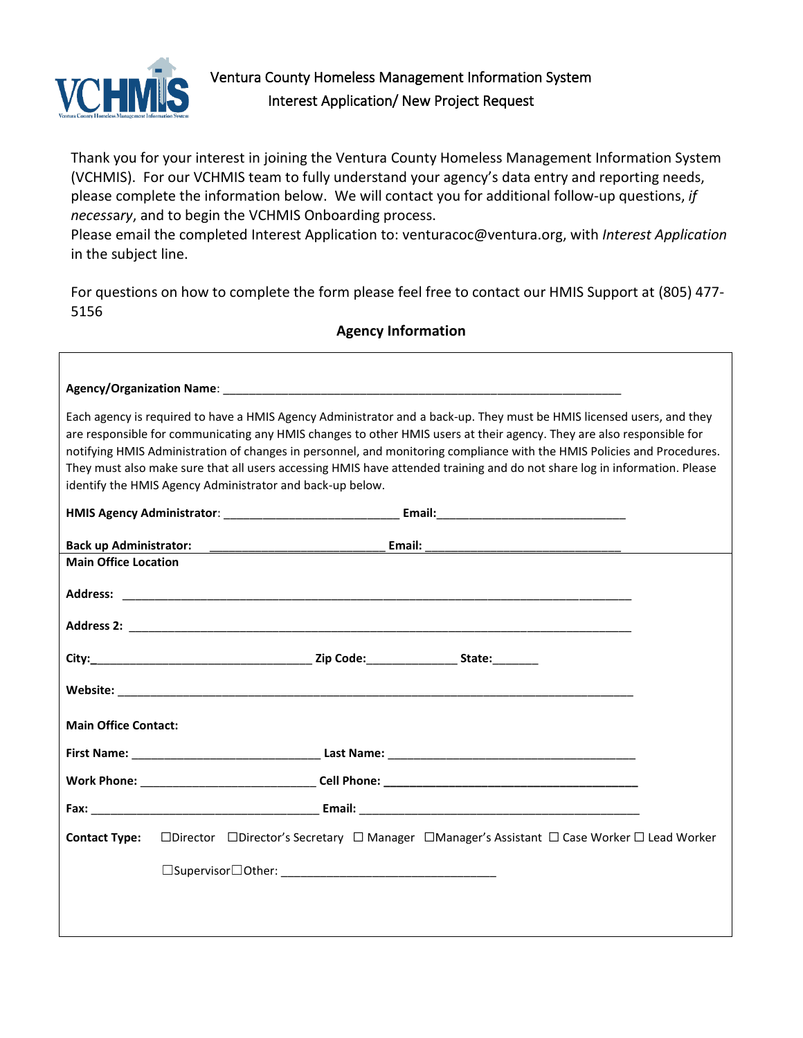

Г

Thank you for your interest in joining the Ventura County Homeless Management Information System (VCHMIS). For our VCHMIS team to fully understand your agency's data entry and reporting needs, please complete the information below. We will contact you for additional follow-up questions, *if necess*a*ry*, and to begin the VCHMIS Onboarding process.

Please email the completed Interest Application to: venturacoc@ventura.org, with *Interest Application* in the subject line.

For questions on how to complete the form please feel free to contact our HMIS Support at (805) 477- 5156

**Agency Information**

|                               | Each agency is required to have a HMIS Agency Administrator and a back-up. They must be HMIS licensed users, and they<br>are responsible for communicating any HMIS changes to other HMIS users at their agency. They are also responsible for<br>notifying HMIS Administration of changes in personnel, and monitoring compliance with the HMIS Policies and Procedures.<br>They must also make sure that all users accessing HMIS have attended training and do not share log in information. Please<br>identify the HMIS Agency Administrator and back-up below. |  |
|-------------------------------|---------------------------------------------------------------------------------------------------------------------------------------------------------------------------------------------------------------------------------------------------------------------------------------------------------------------------------------------------------------------------------------------------------------------------------------------------------------------------------------------------------------------------------------------------------------------|--|
|                               |                                                                                                                                                                                                                                                                                                                                                                                                                                                                                                                                                                     |  |
| <b>Back up Administrator:</b> | <u> 1989 - Johann John Stone, mars et al. (</u>                                                                                                                                                                                                                                                                                                                                                                                                                                                                                                                     |  |
| <b>Main Office Location</b>   |                                                                                                                                                                                                                                                                                                                                                                                                                                                                                                                                                                     |  |
|                               |                                                                                                                                                                                                                                                                                                                                                                                                                                                                                                                                                                     |  |
|                               |                                                                                                                                                                                                                                                                                                                                                                                                                                                                                                                                                                     |  |
|                               |                                                                                                                                                                                                                                                                                                                                                                                                                                                                                                                                                                     |  |
|                               |                                                                                                                                                                                                                                                                                                                                                                                                                                                                                                                                                                     |  |
| <b>Main Office Contact:</b>   |                                                                                                                                                                                                                                                                                                                                                                                                                                                                                                                                                                     |  |
|                               |                                                                                                                                                                                                                                                                                                                                                                                                                                                                                                                                                                     |  |
|                               |                                                                                                                                                                                                                                                                                                                                                                                                                                                                                                                                                                     |  |
|                               |                                                                                                                                                                                                                                                                                                                                                                                                                                                                                                                                                                     |  |
| <b>Contact Type:</b>          | $\Box$ Director $\Box$ Director's Secretary $\Box$ Manager $\Box$ Manager's Assistant $\Box$ Case Worker $\Box$ Lead Worker                                                                                                                                                                                                                                                                                                                                                                                                                                         |  |
|                               |                                                                                                                                                                                                                                                                                                                                                                                                                                                                                                                                                                     |  |
|                               |                                                                                                                                                                                                                                                                                                                                                                                                                                                                                                                                                                     |  |
|                               |                                                                                                                                                                                                                                                                                                                                                                                                                                                                                                                                                                     |  |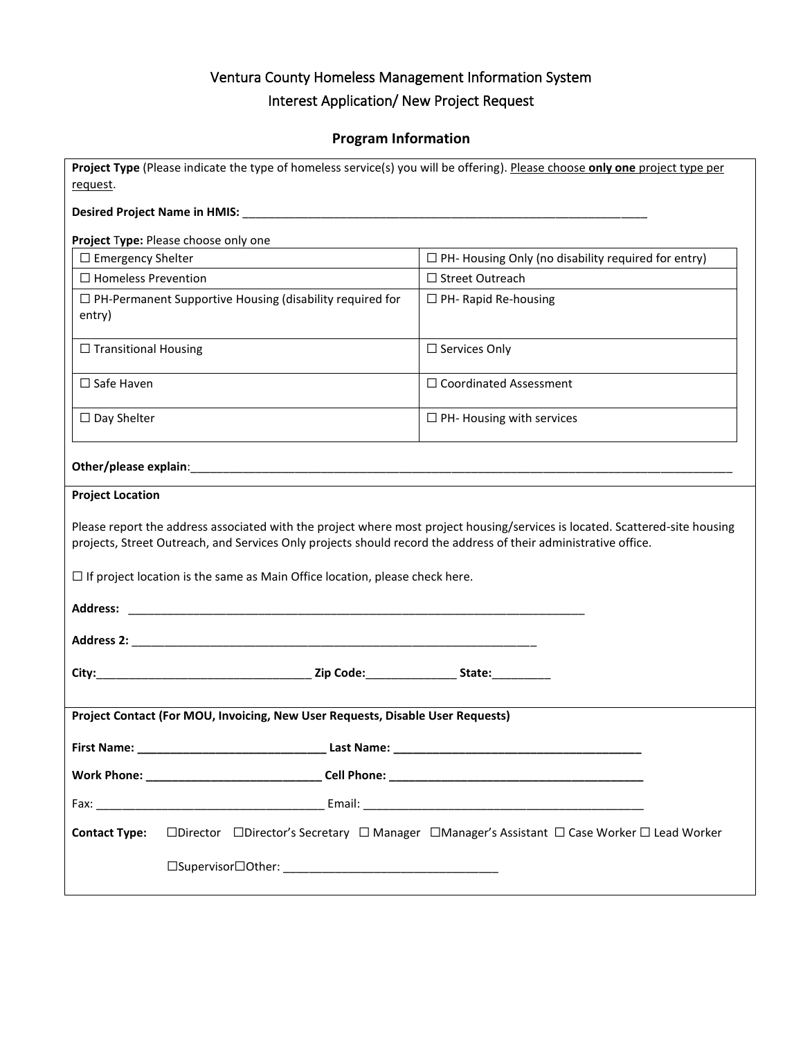#### **Program Information**

| Project Type (Please indicate the type of homeless service(s) you will be offering). Please choose only one project type per                                                                                                                                                                                                          |                                                                                            |
|---------------------------------------------------------------------------------------------------------------------------------------------------------------------------------------------------------------------------------------------------------------------------------------------------------------------------------------|--------------------------------------------------------------------------------------------|
| request.                                                                                                                                                                                                                                                                                                                              |                                                                                            |
|                                                                                                                                                                                                                                                                                                                                       |                                                                                            |
| Project Type: Please choose only one                                                                                                                                                                                                                                                                                                  |                                                                                            |
| $\Box$ Emergency Shelter                                                                                                                                                                                                                                                                                                              | $\Box$ PH- Housing Only (no disability required for entry)                                 |
| $\Box$ Homeless Prevention                                                                                                                                                                                                                                                                                                            | □ Street Outreach                                                                          |
| $\Box$ PH-Permanent Supportive Housing (disability required for<br>entry)                                                                                                                                                                                                                                                             | $\Box$ PH- Rapid Re-housing                                                                |
| $\Box$ Transitional Housing                                                                                                                                                                                                                                                                                                           | $\Box$ Services Only                                                                       |
| $\Box$ Safe Haven                                                                                                                                                                                                                                                                                                                     | $\Box$ Coordinated Assessment                                                              |
| $\Box$ Day Shelter                                                                                                                                                                                                                                                                                                                    | $\Box$ PH- Housing with services                                                           |
|                                                                                                                                                                                                                                                                                                                                       |                                                                                            |
| <b>Project Location</b>                                                                                                                                                                                                                                                                                                               |                                                                                            |
| Please report the address associated with the project where most project housing/services is located. Scattered-site housing<br>projects, Street Outreach, and Services Only projects should record the address of their administrative office.<br>$\Box$ If project location is the same as Main Office location, please check here. |                                                                                            |
|                                                                                                                                                                                                                                                                                                                                       |                                                                                            |
|                                                                                                                                                                                                                                                                                                                                       |                                                                                            |
|                                                                                                                                                                                                                                                                                                                                       |                                                                                            |
| Project Contact (For MOU, Invoicing, New User Requests, Disable User Requests)                                                                                                                                                                                                                                                        |                                                                                            |
| First Name: _                                                                                                                                                                                                                                                                                                                         |                                                                                            |
|                                                                                                                                                                                                                                                                                                                                       |                                                                                            |
|                                                                                                                                                                                                                                                                                                                                       |                                                                                            |
| <b>Contact Type:</b>                                                                                                                                                                                                                                                                                                                  | □Director □Director's Secretary □ Manager □Manager's Assistant □ Case Worker □ Lead Worker |
|                                                                                                                                                                                                                                                                                                                                       |                                                                                            |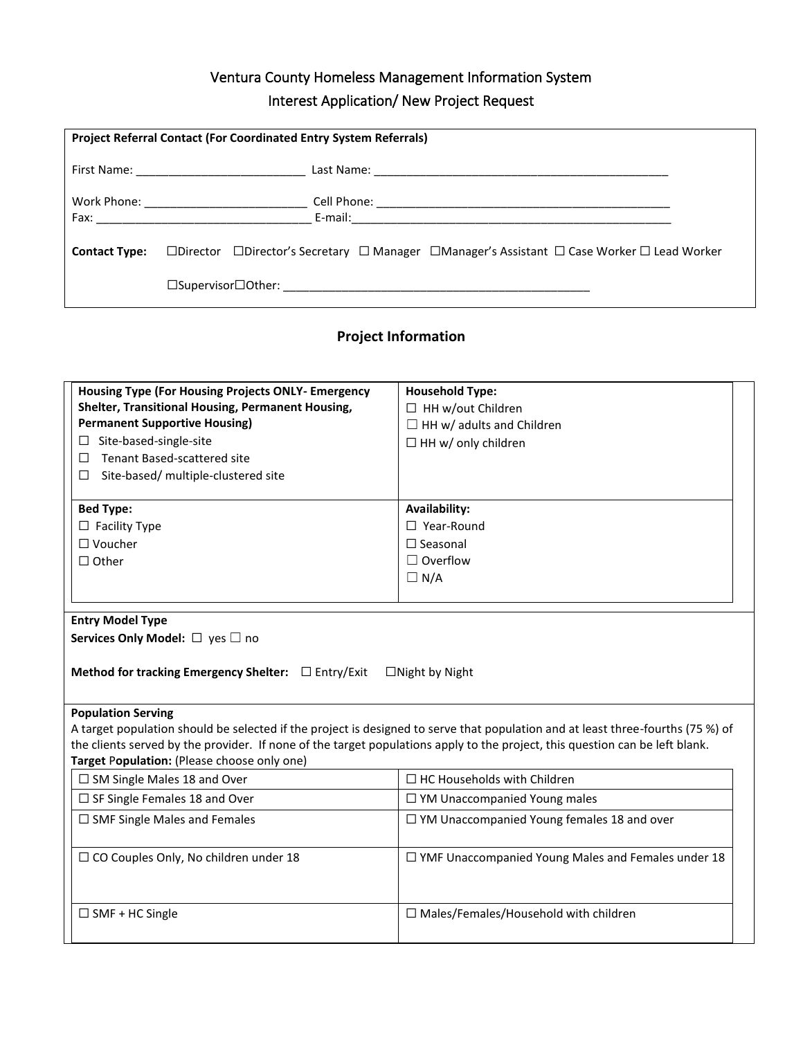| <b>Project Referral Contact (For Coordinated Entry System Referrals)</b>                                                                         |
|--------------------------------------------------------------------------------------------------------------------------------------------------|
|                                                                                                                                                  |
|                                                                                                                                                  |
|                                                                                                                                                  |
| <b>Contact Type:</b> $\Box$ Director $\Box$ Director's Secretary $\Box$ Manager $\Box$ Manager's Assistant $\Box$ Case Worker $\Box$ Lead Worker |
|                                                                                                                                                  |

### **Project Information**

| <b>Housing Type (For Housing Projects ONLY- Emergency</b>                                                                                                                                                                                                            | <b>Household Type:</b>                                                                                                                                   |  |
|----------------------------------------------------------------------------------------------------------------------------------------------------------------------------------------------------------------------------------------------------------------------|----------------------------------------------------------------------------------------------------------------------------------------------------------|--|
| Shelter, Transitional Housing, Permanent Housing,                                                                                                                                                                                                                    | $\Box$ HH w/out Children                                                                                                                                 |  |
| <b>Permanent Supportive Housing)</b>                                                                                                                                                                                                                                 | $\Box$ HH w/ adults and Children                                                                                                                         |  |
| Site-based-single-site<br>⊔                                                                                                                                                                                                                                          | $\Box$ HH w/ only children                                                                                                                               |  |
| <b>Tenant Based-scattered site</b><br>□                                                                                                                                                                                                                              |                                                                                                                                                          |  |
| Site-based/ multiple-clustered site<br>□                                                                                                                                                                                                                             |                                                                                                                                                          |  |
| <b>Bed Type:</b>                                                                                                                                                                                                                                                     | Availability:                                                                                                                                            |  |
| $\Box$ Facility Type                                                                                                                                                                                                                                                 | $\Box$ Year-Round                                                                                                                                        |  |
| $\Box$ Voucher                                                                                                                                                                                                                                                       | $\Box$ Seasonal                                                                                                                                          |  |
| $\Box$ Other                                                                                                                                                                                                                                                         | $\Box$ Overflow                                                                                                                                          |  |
|                                                                                                                                                                                                                                                                      | $\Box N/A$                                                                                                                                               |  |
|                                                                                                                                                                                                                                                                      |                                                                                                                                                          |  |
| Method for tracking Emergency Shelter: $\Box$ Entry/Exit<br><b>Population Serving</b><br>the clients served by the provider. If none of the target populations apply to the project, this question can be left blank.<br>Target Population: (Please choose only one) | $\Box$ Night by Night<br>A target population should be selected if the project is designed to serve that population and at least three-fourths (75 %) of |  |
| $\Box$ SM Single Males 18 and Over                                                                                                                                                                                                                                   | $\Box$ HC Households with Children                                                                                                                       |  |
| $\Box$ SF Single Females 18 and Over                                                                                                                                                                                                                                 | $\Box$ YM Unaccompanied Young males                                                                                                                      |  |
| $\Box$ SMF Single Males and Females                                                                                                                                                                                                                                  | $\Box$ YM Unaccompanied Young females 18 and over                                                                                                        |  |
| $\Box$ CO Couples Only, No children under 18                                                                                                                                                                                                                         | $\Box$ YMF Unaccompanied Young Males and Females under 18                                                                                                |  |
| $\Box$ SMF + HC Single                                                                                                                                                                                                                                               | $\Box$ Males/Females/Household with children                                                                                                             |  |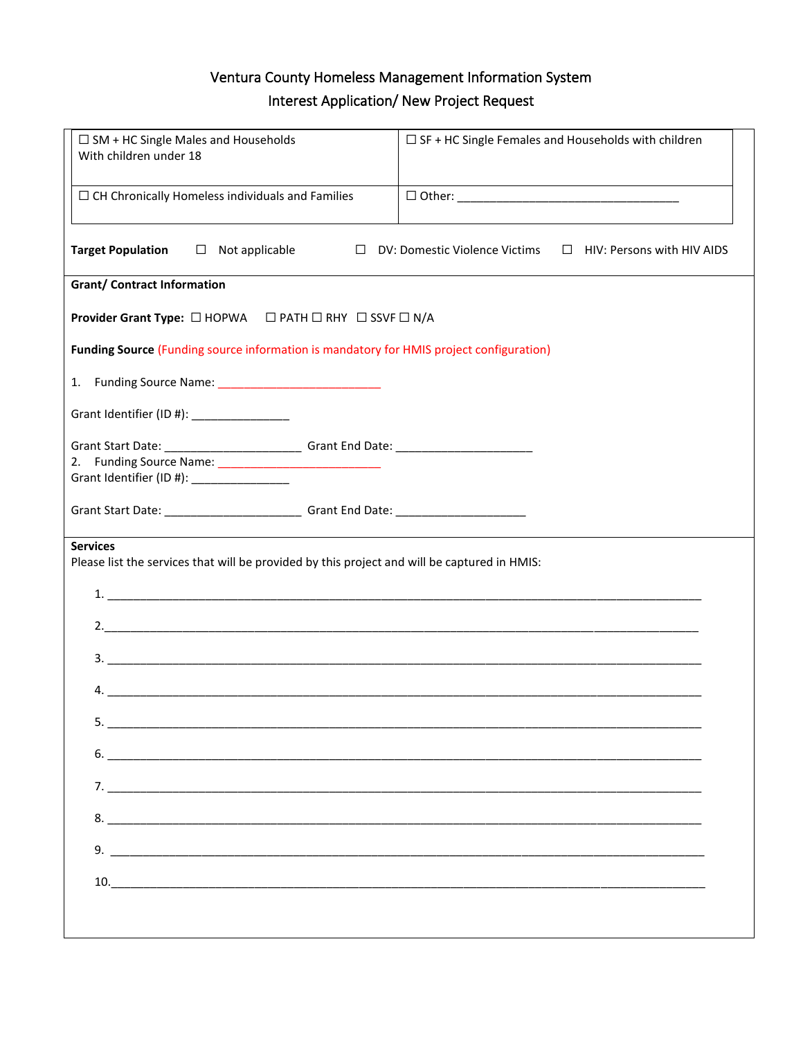| $\Box$ SM + HC Single Males and Households<br>With children under 18                                                                              | $\Box$ SF + HC Single Females and Households with children         |
|---------------------------------------------------------------------------------------------------------------------------------------------------|--------------------------------------------------------------------|
| $\Box$ CH Chronically Homeless individuals and Families                                                                                           |                                                                    |
| <b>Target Population</b><br>$\Box$ Not applicable<br>$\Box$                                                                                       | DV: Domestic Violence Victims<br>$\Box$ HIV: Persons with HIV AIDS |
| <b>Grant/ Contract Information</b>                                                                                                                |                                                                    |
| Provider Grant Type: □ HOPWA □ PATH □ RHY □ SSVF □ N/A                                                                                            |                                                                    |
| <b>Funding Source (Funding source information is mandatory for HMIS project configuration)</b>                                                    |                                                                    |
|                                                                                                                                                   |                                                                    |
| Grant Identifier (ID #): _______________                                                                                                          |                                                                    |
| Grant Start Date: _________________________________Grant End Date: ________________________________<br>Grant Identifier (ID #): _________________ |                                                                    |
| Grant Start Date: _________________________________Grant End Date: ________________________________                                               |                                                                    |
| <b>Services</b><br>Please list the services that will be provided by this project and will be captured in HMIS:                                   |                                                                    |
| 4.                                                                                                                                                |                                                                    |
|                                                                                                                                                   |                                                                    |
| $6.$ $\overline{\phantom{a}}$                                                                                                                     |                                                                    |
|                                                                                                                                                   |                                                                    |
|                                                                                                                                                   |                                                                    |
|                                                                                                                                                   |                                                                    |
| 10.                                                                                                                                               |                                                                    |
|                                                                                                                                                   |                                                                    |